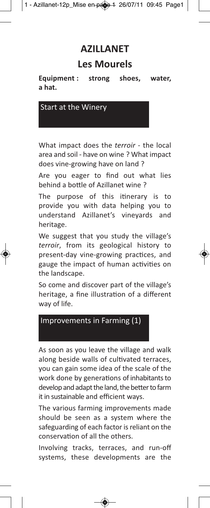## **AZILLANET**

## **Les Mourels**

Equipment : strong shoes, **Equipment : strong shoes, water,**

Start at the Winery

What impact does the *terroir* - the local area and soil - have on wine ? What impact does vine-growing have on land ?

Are you eager to find out what lies behind a bottle of Azillanet wine ?

The purpose of this itinerary is to provide you with data helping you to understand Azillanet's vineyards and heritage.

We suggest that you study the village's *terroir*, from its geological history to present-day vine-growing practices, and gauge the impact of human activities on the landscape.

So come and discover part of the village's heritage, a fine illustration of a different way of life.

## Improvements in Farming (1)

As soon as you leave the village and walk along beside walls of cultivated terraces, you can gain some idea of the scale of the work done by generations of inhabitants to develop and adapt the land, the better to farm it in sustainable and efficient ways.

The various farming improvements made should be seen as a system where the safeguarding of each factor is reliant on the conservation of all the others.

Involving tracks, terraces, and run-off systems, these developments are the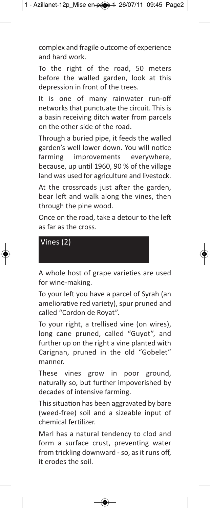complex and fragile outcome of experience and hard work.

To the right of the road, 50 meters before the walled garden, look at this depression in front of the trees.

It is one of many rainwater run-off networks that punctuate the circuit. This is a basin receiving ditch water from parcels on the other side of the road.

Through a buried pipe, it feeds the walled garden's well lower down. You will notice farming improvements everywhere, because, up until 1960, 90 % of the village land was used for agriculture and livestock.

At the crossroads just after the garden, bear left and walk along the vines, then through the pine wood.

Once on the road, take a detour to the left as far as the cross.

Vines (2)

A whole host of grape varieties are used for wine-making.

To your left you have a parcel of Syrah (an ameliorative red variety), spur pruned and called "Cordon de Royat".

To your right, a trellised vine (on wires), long cane pruned, called "Guyot", and further up on the right a vine planted with Carignan, pruned in the old "Gobelet" manner.

These vines grow in poor ground, naturally so, but further impoverished by decades of intensive farming.

This situation has been aggravated by bare (weed-free) soil and a sizeable input of chemical fertilizer.

Marl has a natural tendency to clod and form a surface crust, preventing water from trickling downward - so, as it runs off, it erodes the soil.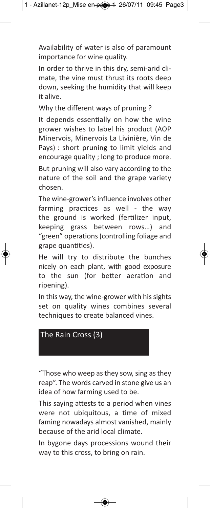Availability of water is also of paramount importance for wine quality.

In order to thrive in this dry, semi-arid climate, the vine must thrust its roots deep down, seeking the humidity that will keep it alive.

Why the different ways of pruning ?

It depends essentially on how the wine grower wishes to label his product (AOP Minervois, Minervois La Livinière, Vin de Pays) : short pruning to limit yields and encourage quality ; long to produce more. But pruning will also vary according to the nature of the soil and the grape variety chosen.

The wine-grower's influence involves other farming practices as well - the way the ground is worked (fertilizer input, keeping grass between rows…) and "green" operations (controlling foliage and grape quantities).

He will try to distribute the bunches nicely on each plant, with good exposure to the sun (for better aeration and ripening).

In this way, the wine-grower with his sights set on quality wines combines several techniques to create balanced vines.



"Those who weep as they sow, sing as they reap". The words carved in stone give us an idea of how farming used to be.

This saying attests to a period when vines were not ubiquitous, a time of mixed faming nowadays almost vanished, mainly because of the arid local climate.

In bygone days processions wound their way to this cross, to bring on rain.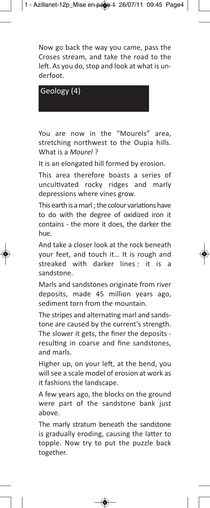Now go back the way you came, pass the Croses stream, and take the road to the left. As you do, stop and look at what is underfoot.

Geology (4)

You are now in the "Mourels" area, stretching northwest to the Oupia hills. What is a *Mourel* ?

It is an elongated hill formed by erosion.

This area therefore boasts a series of uncultivated rocky ridges and marly depressions where vines grow.

This earth is a marl ; the colour variations have to do with the degree of oxidized iron it contains - the more it does, the darker the hue.

And take a closer look at the rock beneath your feet, and touch it… It is rough and streaked with darker lines : it is sandstone.

Marls and sandstones originate from river deposits, made 45 million years ago, sediment torn from the mountain.

The stripes and alternating marl and sandstone are caused by the current's strength. The slower it gets, the finer the deposits resulting in coarse and fine sandstones, and marls.

Higher up, on your left, at the bend, you will see a scale model of erosion at work as it fashions the landscape.

A few years ago, the blocks on the ground were part of the sandstone bank just above.

The marly stratum beneath the sandstone is gradually eroding, causing the latter to topple. Now try to put the puzzle back together.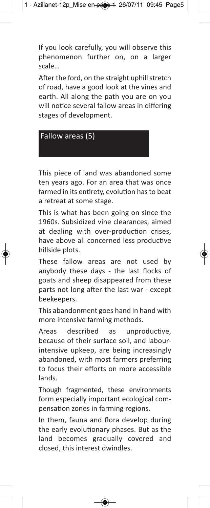If you look carefully, you will observe this phenomenon further on, on a larger scale…

After the ford, on the straight uphill stretch of road, have a good look at the vines and earth. All along the path you are on you will notice several fallow areas in differing stages of development.



This piece of land was abandoned some ten years ago. For an area that was once farmed in its entirety, evolution has to beat a retreat at some stage.

This is what has been going on since the 1960s. Subsidized vine clearances, aimed at dealing with over-production crises, have above all concerned less productive hillside plots.

These fallow areas are not used by anybody these days - the last flocks of goats and sheep disappeared from these parts not long after the last war - except beekeepers.

This abandonment goes hand in hand with more intensive farming methods.

Areas described as unproductive, because of their surface soil, and labourintensive upkeep, are being increasingly abandoned, with most farmers preferring to focus their efforts on more accessible lands.

Though fragmented, these environments form especially important ecological compensation zones in farming regions.

In them, fauna and flora develop during the early evolutionary phases. But as the land becomes gradually covered and closed, this interest dwindles.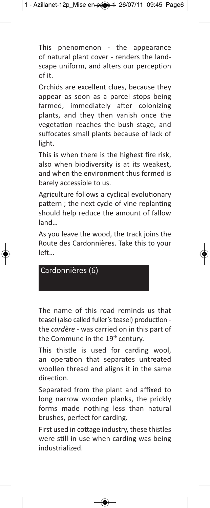This phenomenon - the appearance of natural plant cover - renders the landscape uniform, and alters our perception of it.

Orchids are excellent clues, because they appear as soon as a parcel stops being farmed, immediately after colonizing plants, and they then vanish once the vegetation reaches the bush stage, and suffocates small plants because of lack of light.

This is when there is the highest fire risk, also when biodiversity is at its weakest, and when the environment thus formed is barely accessible to us.

Agriculture follows a cyclical evolutionary pattern ; the next cycle of vine replanting should help reduce the amount of fallow land…

As you leave the wood, the track joins the Route des Cardonnières. Take this to your left…

Cardonnières (6)

The name of this road reminds us that teasel (also called fuller's teasel) production the *cardère* - was carried on in this part of the Commune in the 19th century.

This thistle is used for carding wool, an operation that separates untreated woollen thread and aligns it in the same direction.

Separated from the plant and affixed to long narrow wooden planks, the prickly forms made nothing less than natural brushes, perfect for carding.

First used in cottage industry, these thistles were still in use when carding was being industrialized.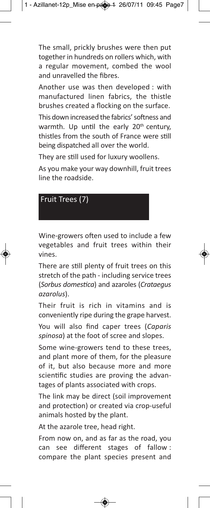The small, prickly brushes were then put together in hundreds on rollers which, with a regular movement, combed the wool and unravelled the fibres.

Another use was then developed : with manufactured linen fabrics, the thistle brushes created a flocking on the surface.

This down increased the fabrics' softness and warmth. Up until the early 20<sup>th</sup> century, thistles from the south of France were still being dispatched all over the world.

They are still used for luxury woollens.

As you make your way downhill, fruit trees line the roadside.

Fruit Trees (7)

Wine-growers often used to include a few vegetables and fruit trees within their vines.

There are still plenty of fruit trees on this stretch of the path - including service trees (*Sorbus domestica*) and azaroles (*Crataegus azarolus*).

Their fruit is rich in vitamins and is conveniently ripe during the grape harvest. You will also find caper trees (*Caparis spinosa*) at the foot of scree and slopes.

Some wine-growers tend to these trees, and plant more of them, for the pleasure of it, but also because more and more scientific studies are proving the advantages of plants associated with crops.

The link may be direct (soil improvement and protection) or created via crop-useful animals hosted by the plant.

At the azarole tree, head right.

From now on, and as far as the road, you can see different stages of fallow : compare the plant species present and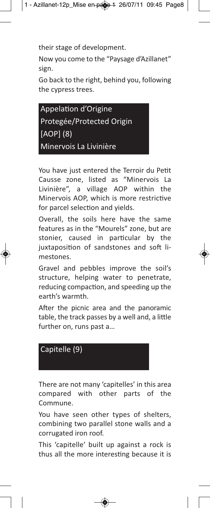their stage of development.

Now you come to the "Paysage d'Azillanet" sign.

Go back to the right, behind you, following the cypress trees.

Appelation d'Origine Protegée/Protected Origin [AOP] (8) Minervois La Livinière

You have just entered the Terroir du Petit Causse zone, listed as "Minervois La Livinière", a village AOP within the Minervois AOP, which is more restrictive for parcel selection and yields.

Overall, the soils here have the same features as in the "Mourels" zone, but are stonier, caused in particular by the juxtaposition of sandstones and soft limestones.

Gravel and pebbles improve the soil's structure, helping water to penetrate, reducing compaction, and speeding up the earth's warmth.

After the picnic area and the panoramic table, the track passes by a well and, a little further on, runs past a…



There are not many 'capitelles' in this area compared with other parts of the Commune.

You have seen other types of shelters, combining two parallel stone walls and a corrugated iron roof.

This 'capitelle' built up against a rock is thus all the more interesting because it is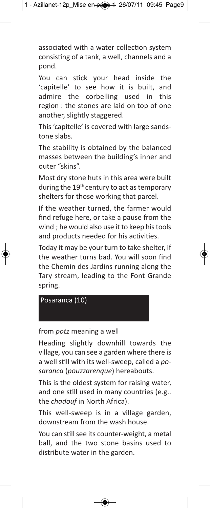associated with a water collection system consisting of a tank, a well, channels and a pond.

You can stick your head inside the 'capitelle' to see how it is built, and admire the corbelling used in this region : the stones are laid on top of one another, slightly staggered.

This 'capitelle' is covered with large sandstone slabs.

The stability is obtained by the balanced masses between the building's inner and outer "skins".

Most dry stone huts in this area were built during the 19<sup>th</sup> century to act as temporary shelters for those working that parcel.

If the weather turned, the farmer would find refuge here, or take a pause from the wind ; he would also use it to keep his tools and products needed for his activities.

Today it may be your turn to take shelter, if the weather turns bad. You will soon find the Chemin des Jardins running along the Tary stream, leading to the Font Grande spring.

Posaranca (10)

## from *potz* meaning a well

Heading slightly downhill towards the village, you can see a garden where there is a well still with its well-sweep, called a *posaranca* (*pouzzarenque*) hereabouts.

This is the oldest system for raising water, and one still used in many countries (e.g.. the *chadouf* in North Africa).

This well-sweep is in a village garden, downstream from the wash house.

You can still see its counter-weight, a metal ball, and the two stone basins used to distribute water in the garden.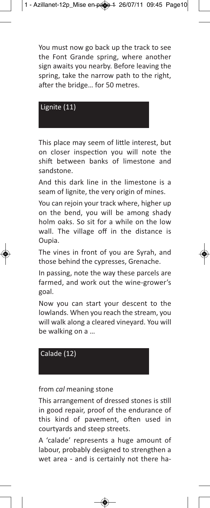You must now go back up the track to see the Font Grande spring, where another sign awaits you nearby. Before leaving the spring, take the narrow path to the right, after the bridge… for 50 metres.

Lignite (11)

This place may seem of little interest, but on closer inspection you will note the shift between banks of limestone and sandstone.

And this dark line in the limestone is a seam of lignite, the very origin of mines.

You can rejoin your track where, higher up on the bend, you will be among shady holm oaks. So sit for a while on the low wall. The village off in the distance is Oupia.

The vines in front of you are Syrah, and those behind the cypresses, Grenache.

In passing, note the way these parcels are farmed, and work out the wine-grower's goal.

Now you can start your descent to the lowlands. When you reach the stream, you will walk along a cleared vineyard. You will be walking on a …



from *cal* meaning stone

This arrangement of dressed stones is still in good repair, proof of the endurance of this kind of pavement, often used in courtyards and steep streets.

A 'calade' represents a huge amount of labour, probably designed to strengthen a wet area - and is certainly not there ha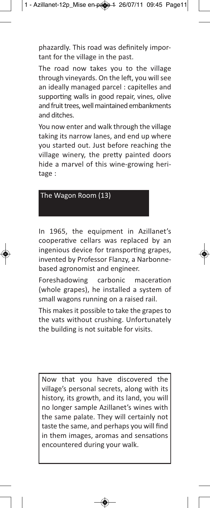phazardly. This road was definitely important for the village in the past.

The road now takes you to the village through vineyards. On the left, you will see an ideally managed parcel : capitelles and supporting walls in good repair, vines, olive and fruit trees, well maintained embankments and ditches.

You now enter and walk through the village taking its narrow lanes, and end up where you started out. Just before reaching the village winery, the pretty painted doors hide a marvel of this wine-growing heritage :



In 1965, the equipment in Azillanet's cooperative cellars was replaced by an ingenious device for transporting grapes, invented by Professor Flanzy, a Narbonnebased agronomist and engineer.

Foreshadowing carbonic maceration (whole grapes), he installed a system of small wagons running on a raised rail.

This makes it possible to take the grapes to the vats without crushing. Unfortunately the building is not suitable for visits.

Now that you have discovered the village's personal secrets, along with its history, its growth, and its land, you will no longer sample Azillanet's wines with the same palate. They will certainly not taste the same, and perhaps you will find in them images, aromas and sensations encountered during your walk.